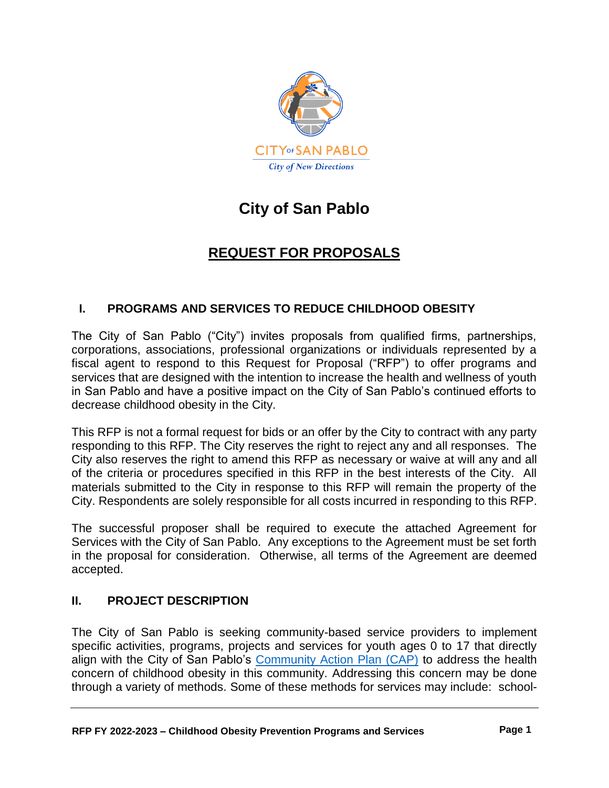

# **City of San Pablo**

# **REQUEST FOR PROPOSALS**

# **I. PROGRAMS AND SERVICES TO REDUCE CHILDHOOD OBESITY**

The City of San Pablo ("City") invites proposals from qualified firms, partnerships, corporations, associations, professional organizations or individuals represented by a fiscal agent to respond to this Request for Proposal ("RFP") to offer programs and services that are designed with the intention to increase the health and wellness of youth in San Pablo and have a positive impact on the City of San Pablo's continued efforts to decrease childhood obesity in the City.

This RFP is not a formal request for bids or an offer by the City to contract with any party responding to this RFP. The City reserves the right to reject any and all responses. The City also reserves the right to amend this RFP as necessary or waive at will any and all of the criteria or procedures specified in this RFP in the best interests of the City. All materials submitted to the City in response to this RFP will remain the property of the City. Respondents are solely responsible for all costs incurred in responding to this RFP.

The successful proposer shall be required to execute the attached Agreement for Services with the City of San Pablo. Any exceptions to the Agreement must be set forth in the proposal for consideration. Otherwise, all terms of the Agreement are deemed accepted.

# **II. PROJECT DESCRIPTION**

The City of San Pablo is seeking community-based service providers to implement specific activities, programs, projects and services for youth ages 0 to 17 that directly align with the City of San Pablo's [Community Action Plan \(CAP\)](https://www.sanpabloca.gov/DocumentCenter/View/5537/CAP-only-22-pages?bidId) to address the health concern of childhood obesity in this community. Addressing this concern may be done through a variety of methods. Some of these methods for services may include: school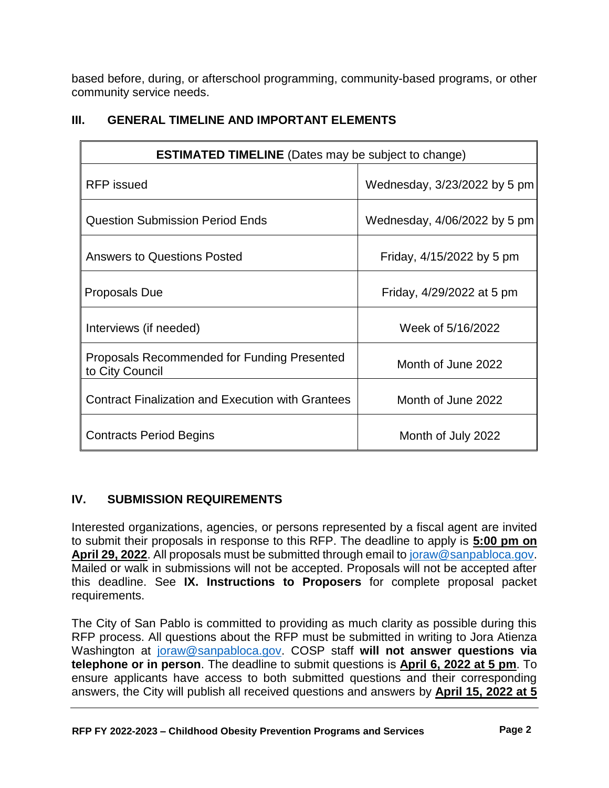based before, during, or afterschool programming, community-based programs, or other community service needs.

| <b>ESTIMATED TIMELINE</b> (Dates may be subject to change)     |                              |  |
|----------------------------------------------------------------|------------------------------|--|
| <b>RFP</b> issued                                              | Wednesday, 3/23/2022 by 5 pm |  |
| <b>Question Submission Period Ends</b>                         | Wednesday, 4/06/2022 by 5 pm |  |
| <b>Answers to Questions Posted</b>                             | Friday, 4/15/2022 by 5 pm    |  |
| Proposals Due                                                  | Friday, 4/29/2022 at 5 pm    |  |
| Interviews (if needed)                                         | Week of 5/16/2022            |  |
| Proposals Recommended for Funding Presented<br>to City Council | Month of June 2022           |  |
| <b>Contract Finalization and Execution with Grantees</b>       | Month of June 2022           |  |
| <b>Contracts Period Begins</b>                                 | Month of July 2022           |  |

# **III. GENERAL TIMELINE AND IMPORTANT ELEMENTS**

# **IV. SUBMISSION REQUIREMENTS**

Interested organizations, agencies, or persons represented by a fiscal agent are invited to submit their proposals in response to this RFP. The deadline to apply is **5:00 pm on April 29, 2022**. All proposals must be submitted through email t[o joraw@sanpabloca.gov.](file://///CH1/CommServ/YOUTH,%20SCHOOL%20&%20COMMUNITY%20PARTNERSHIPS/x%20Grant%20&%20Advisory%20Group%20-%20COP/Request%20for%20Proposals%20(RFPs)/2020%20RFP/Draft%20documents/joraw@sanpabloca.gov) Mailed or walk in submissions will not be accepted. Proposals will not be accepted after this deadline. See **IX. Instructions to Proposers** for complete proposal packet requirements.

The City of San Pablo is committed to providing as much clarity as possible during this RFP process. All questions about the RFP must be submitted in writing to Jora Atienza Washington at [joraw@sanpabloca.gov.](mailto:joraw@sanpabloca.gov) COSP staff **will not answer questions via telephone or in person**. The deadline to submit questions is **April 6, 2022 at 5 pm**. To ensure applicants have access to both submitted questions and their corresponding answers, the City will publish all received questions and answers by **April 15, 2022 at 5**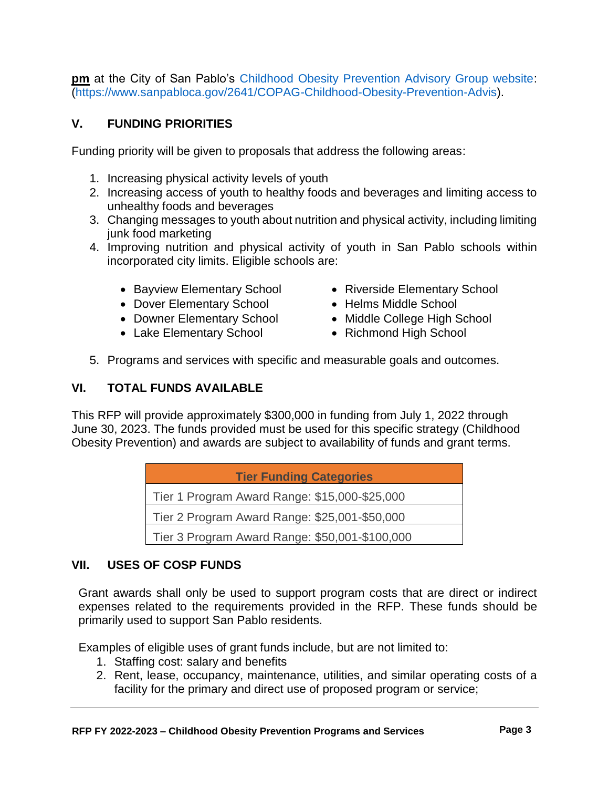**pm** at the City of San Pablo's [Childhood Obesity Prevention Advisory Group website:](https://www.sanpabloca.gov/2641/COPAG-Childhood-Obesity-Prevention-Advis) [\(https://www.sanpabloca.gov/2641/COPAG-Childhood-Obesity-Prevention-Advis\)](https://www.sanpabloca.gov/2641/COPAG-Childhood-Obesity-Prevention-Advis).

#### **V. FUNDING PRIORITIES**

Funding priority will be given to proposals that address the following areas:

- 1. Increasing physical activity levels of youth
- 2. Increasing access of youth to healthy foods and beverages and limiting access to unhealthy foods and beverages
- 3. Changing messages to youth about nutrition and physical activity, including limiting junk food marketing
- 4. Improving nutrition and physical activity of youth in San Pablo schools within incorporated city limits. Eligible schools are:
	- Bayview Elementary School
	- Dover Elementary School
	- Downer Elementary School
	- Lake Elementary School
- Riverside Elementary School
- Helms Middle School
- Middle College High School
- Richmond High School
- 5. Programs and services with specific and measurable goals and outcomes.

### **VI. TOTAL FUNDS AVAILABLE**

This RFP will provide approximately \$300,000 in funding from July 1, 2022 through June 30, 2023. The funds provided must be used for this specific strategy (Childhood Obesity Prevention) and awards are subject to availability of funds and grant terms.

| <b>Tier Funding Categories</b>                 |  |
|------------------------------------------------|--|
| Tier 1 Program Award Range: \$15,000-\$25,000  |  |
| Tier 2 Program Award Range: \$25,001-\$50,000  |  |
| Tier 3 Program Award Range: \$50,001-\$100,000 |  |

#### **VII. USES OF COSP FUNDS**

Grant awards shall only be used to support program costs that are direct or indirect expenses related to the requirements provided in the RFP. These funds should be primarily used to support San Pablo residents.

Examples of eligible uses of grant funds include, but are not limited to:

- 1. Staffing cost: salary and benefits
- 2. Rent, lease, occupancy, maintenance, utilities, and similar operating costs of a facility for the primary and direct use of proposed program or service;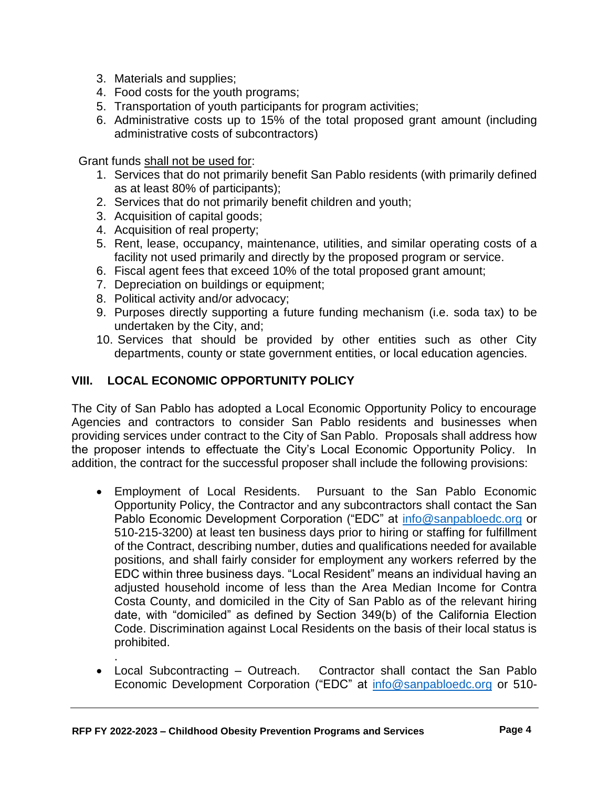- 3. Materials and supplies;
- 4. Food costs for the youth programs;
- 5. Transportation of youth participants for program activities;
- 6. Administrative costs up to 15% of the total proposed grant amount (including administrative costs of subcontractors)

Grant funds shall not be used for:

- 1. Services that do not primarily benefit San Pablo residents (with primarily defined as at least 80% of participants);
- 2. Services that do not primarily benefit children and youth;
- 3. Acquisition of capital goods;
- 4. Acquisition of real property;
- 5. Rent, lease, occupancy, maintenance, utilities, and similar operating costs of a facility not used primarily and directly by the proposed program or service.
- 6. Fiscal agent fees that exceed 10% of the total proposed grant amount;
- 7. Depreciation on buildings or equipment;
- 8. Political activity and/or advocacy;
- 9. Purposes directly supporting a future funding mechanism (i.e. soda tax) to be undertaken by the City, and;
- 10. Services that should be provided by other entities such as other City departments, county or state government entities, or local education agencies.

#### **VIII. LOCAL ECONOMIC OPPORTUNITY POLICY**

The City of San Pablo has adopted a Local Economic Opportunity Policy to encourage Agencies and contractors to consider San Pablo residents and businesses when providing services under contract to the City of San Pablo. Proposals shall address how the proposer intends to effectuate the City's Local Economic Opportunity Policy. In addition, the contract for the successful proposer shall include the following provisions:

- Employment of Local Residents. Pursuant to the San Pablo Economic Opportunity Policy, the Contractor and any subcontractors shall contact the San Pablo Economic Development Corporation ("EDC" at [info@sanpabloedc.org](file://///CH1/CommServ/COPTF/CAFS%20RESOS%20RFP%20RFQ/2019%20RFP/info@sanpabloedc.org) or 510-215-3200) at least ten business days prior to hiring or staffing for fulfillment of the Contract, describing number, duties and qualifications needed for available positions, and shall fairly consider for employment any workers referred by the EDC within three business days. "Local Resident" means an individual having an adjusted household income of less than the Area Median Income for Contra Costa County, and domiciled in the City of San Pablo as of the relevant hiring date, with "domiciled" as defined by Section 349(b) of the California Election Code. Discrimination against Local Residents on the basis of their local status is prohibited.
- . • Local Subcontracting – Outreach. Contractor shall contact the San Pablo Economic Development Corporation ("EDC" at [info@sanpabloedc.org](mailto:info@sanpabloedc.org) or 510-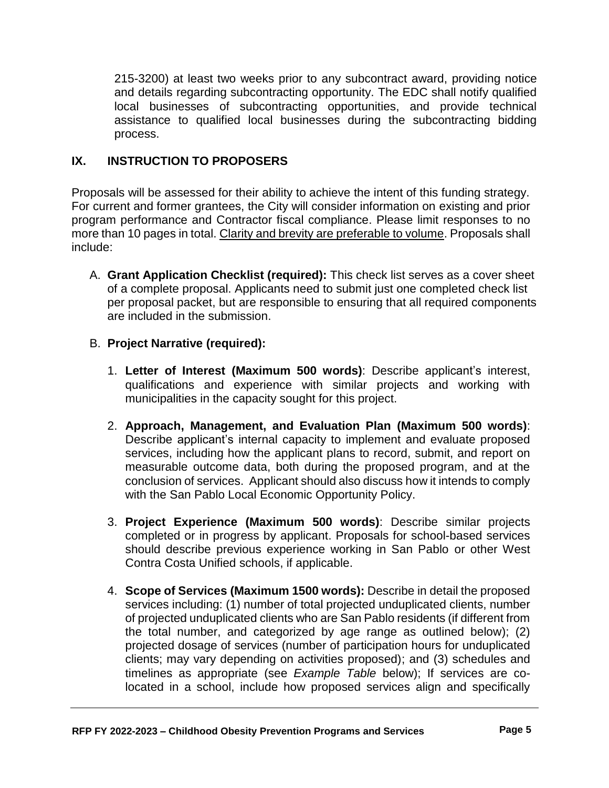215-3200) at least two weeks prior to any subcontract award, providing notice and details regarding subcontracting opportunity. The EDC shall notify qualified local businesses of subcontracting opportunities, and provide technical assistance to qualified local businesses during the subcontracting bidding process.

# **IX. INSTRUCTION TO PROPOSERS**

Proposals will be assessed for their ability to achieve the intent of this funding strategy. For current and former grantees, the City will consider information on existing and prior program performance and Contractor fiscal compliance. Please limit responses to no more than 10 pages in total. Clarity and brevity are preferable to volume. Proposals shall include:

A. **Grant Application Checklist (required):** This check list serves as a cover sheet of a complete proposal. Applicants need to submit just one completed check list per proposal packet, but are responsible to ensuring that all required components are included in the submission.

#### B. **Project Narrative (required):**

- 1. **Letter of Interest (Maximum 500 words)**: Describe applicant's interest, qualifications and experience with similar projects and working with municipalities in the capacity sought for this project.
- 2. **Approach, Management, and Evaluation Plan (Maximum 500 words)**: Describe applicant's internal capacity to implement and evaluate proposed services, including how the applicant plans to record, submit, and report on measurable outcome data, both during the proposed program, and at the conclusion of services. Applicant should also discuss how it intends to comply with the San Pablo Local Economic Opportunity Policy.
- 3. **Project Experience (Maximum 500 words)**: Describe similar projects completed or in progress by applicant. Proposals for school-based services should describe previous experience working in San Pablo or other West Contra Costa Unified schools, if applicable.
- 4. **Scope of Services (Maximum 1500 words):** Describe in detail the proposed services including: (1) number of total projected unduplicated clients, number of projected unduplicated clients who are San Pablo residents (if different from the total number, and categorized by age range as outlined below); (2) projected dosage of services (number of participation hours for unduplicated clients; may vary depending on activities proposed); and (3) schedules and timelines as appropriate (see *Example Table* below); If services are colocated in a school, include how proposed services align and specifically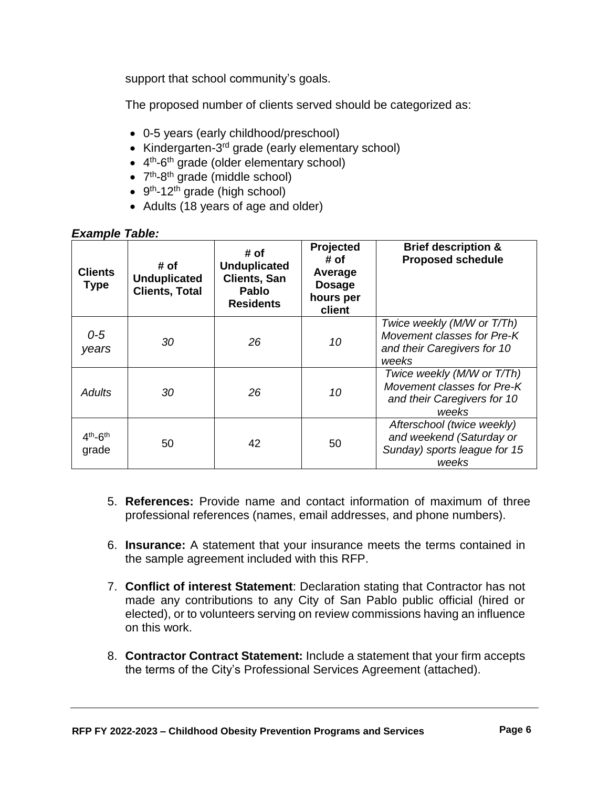support that school community's goals.

The proposed number of clients served should be categorized as:

- 0-5 years (early childhood/preschool)
- Kindergarten-3<sup>rd</sup> grade (early elementary school)
- 4<sup>th</sup>-6<sup>th</sup> grade (older elementary school)
- 7<sup>th</sup>-8<sup>th</sup> grade (middle school)
- 9<sup>th</sup>-12<sup>th</sup> grade (high school)
- Adults (18 years of age and older)

#### *Example Table:*

| <b>Clients</b><br><b>Type</b> | # of<br><b>Unduplicated</b><br><b>Clients, Total</b> | # of<br><b>Unduplicated</b><br><b>Clients, San</b><br><b>Pablo</b><br><b>Residents</b> | Projected<br># of<br>Average<br><b>Dosage</b><br>hours per<br>client | <b>Brief description &amp;</b><br><b>Proposed schedule</b>                                       |
|-------------------------------|------------------------------------------------------|----------------------------------------------------------------------------------------|----------------------------------------------------------------------|--------------------------------------------------------------------------------------------------|
| $0 - 5$<br>years              | 30                                                   | 26                                                                                     | 10                                                                   | Twice weekly (M/W or T/Th)<br>Movement classes for Pre-K<br>and their Caregivers for 10<br>weeks |
| <b>Adults</b>                 | 30                                                   | 26                                                                                     | 10                                                                   | Twice weekly (M/W or T/Th)<br>Movement classes for Pre-K<br>and their Caregivers for 10<br>weeks |
| $4th - 6th$<br>grade          | 50                                                   | 42                                                                                     | 50                                                                   | Afterschool (twice weekly)<br>and weekend (Saturday or<br>Sunday) sports league for 15<br>weeks  |

- 5. **References:** Provide name and contact information of maximum of three professional references (names, email addresses, and phone numbers).
- 6. **Insurance:** A statement that your insurance meets the terms contained in the sample agreement included with this RFP.
- 7. **Conflict of interest Statement**: Declaration stating that Contractor has not made any contributions to any City of San Pablo public official (hired or elected), or to volunteers serving on review commissions having an influence on this work.
- 8. **Contractor Contract Statement:** Include a statement that your firm accepts the terms of the City's Professional Services Agreement (attached).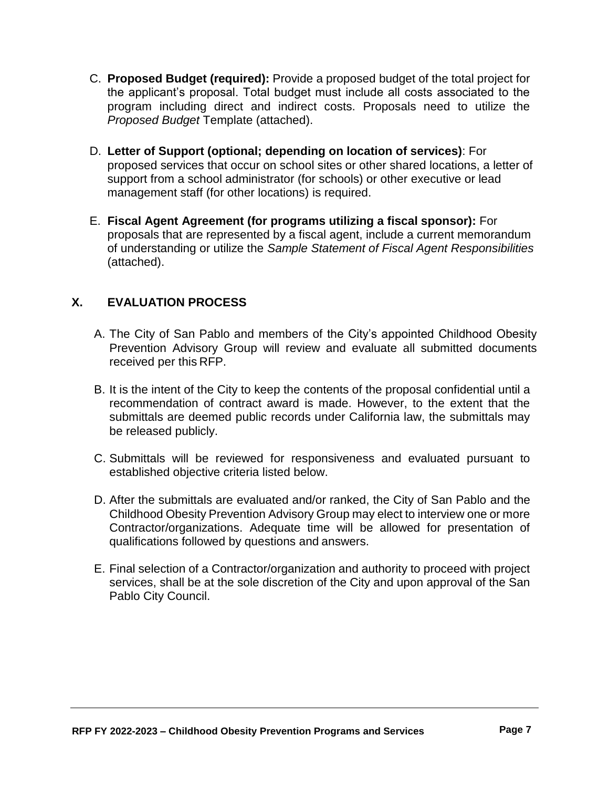- C. **Proposed Budget (required):** Provide a proposed budget of the total project for the applicant's proposal. Total budget must include all costs associated to the program including direct and indirect costs. Proposals need to utilize the *Proposed Budget* Template (attached).
- D. **Letter of Support (optional; depending on location of services)**: For proposed services that occur on school sites or other shared locations, a letter of support from a school administrator (for schools) or other executive or lead management staff (for other locations) is required.
- E. **Fiscal Agent Agreement (for programs utilizing a fiscal sponsor):** For proposals that are represented by a fiscal agent, include a current memorandum of understanding or utilize the *Sample Statement of Fiscal Agent Responsibilities* (attached).

# **X. EVALUATION PROCESS**

- A. The City of San Pablo and members of the City's appointed Childhood Obesity Prevention Advisory Group will review and evaluate all submitted documents received per this RFP.
- B. It is the intent of the City to keep the contents of the proposal confidential until a recommendation of contract award is made. However, to the extent that the submittals are deemed public records under California law, the submittals may be released publicly.
- C. Submittals will be reviewed for responsiveness and evaluated pursuant to established objective criteria listed below.
- D. After the submittals are evaluated and/or ranked, the City of San Pablo and the Childhood Obesity Prevention Advisory Group may elect to interview one or more Contractor/organizations. Adequate time will be allowed for presentation of qualifications followed by questions and answers.
- E. Final selection of a Contractor/organization and authority to proceed with project services, shall be at the sole discretion of the City and upon approval of the San Pablo City Council.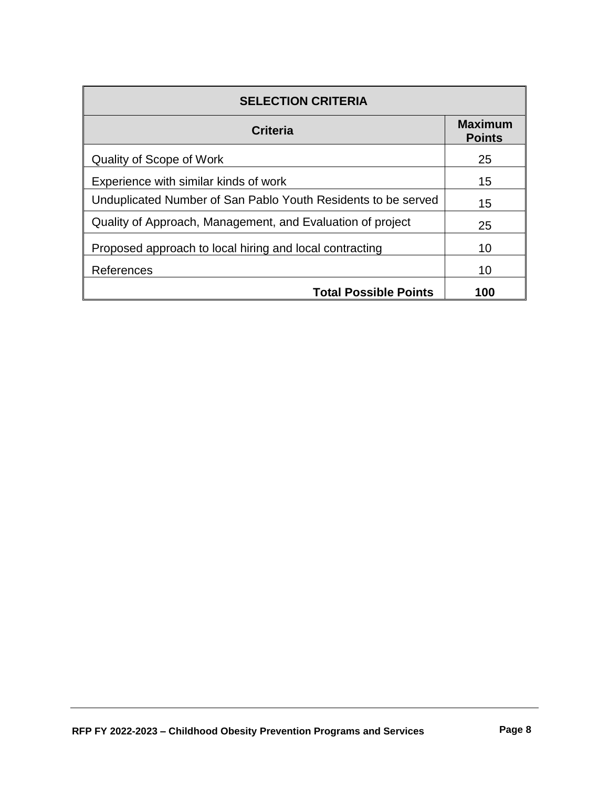| <b>SELECTION CRITERIA</b>                                     |                                 |  |
|---------------------------------------------------------------|---------------------------------|--|
| <b>Criteria</b>                                               | <b>Maximum</b><br><b>Points</b> |  |
| Quality of Scope of Work                                      | 25                              |  |
| Experience with similar kinds of work                         | 15                              |  |
| Unduplicated Number of San Pablo Youth Residents to be served | 15                              |  |
| Quality of Approach, Management, and Evaluation of project    | 25                              |  |
| Proposed approach to local hiring and local contracting       | 10                              |  |
| References                                                    | 10                              |  |
| <b>Total Possible Points</b>                                  | 100                             |  |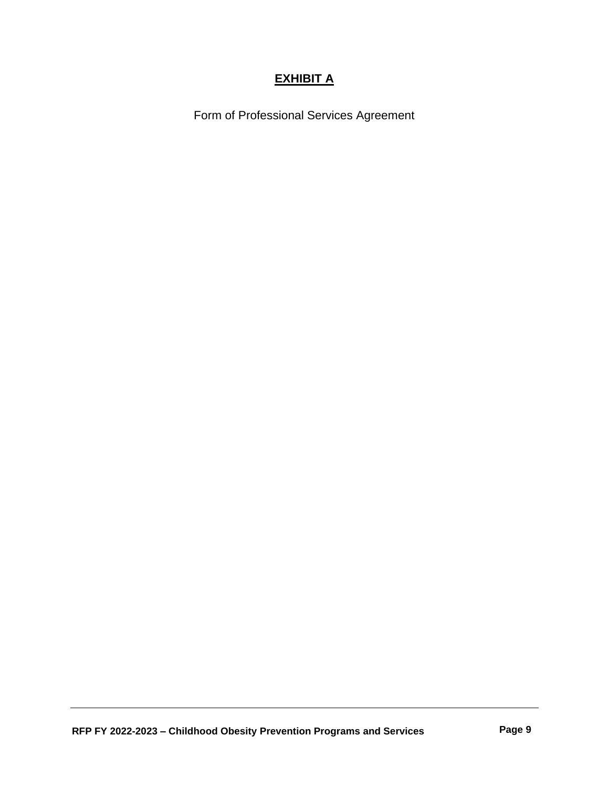# **EXHIBIT A**

Form of Professional Services Agreement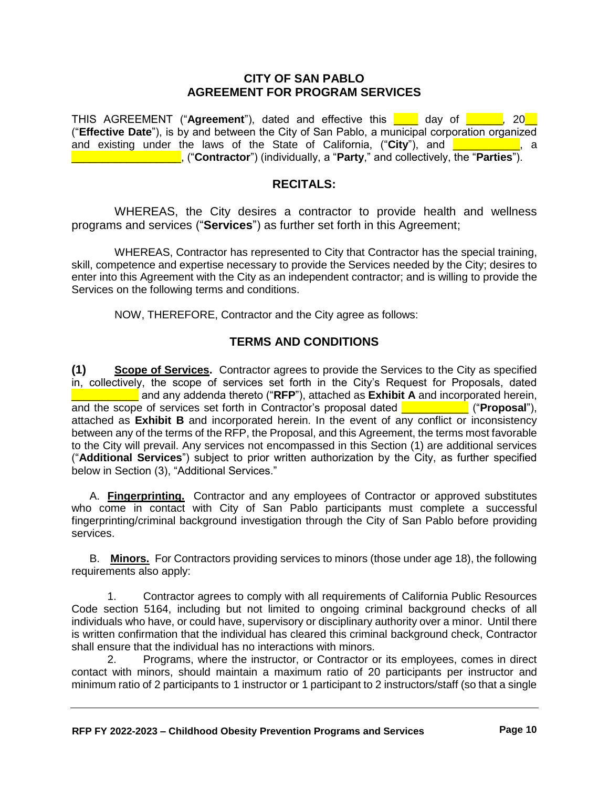#### **CITY OF SAN PABLO AGREEMENT FOR PROGRAM SERVICES**

THIS AGREEMENT ("**Agreement**"), dated and effective this \_\_\_\_ day of \_\_\_\_\_\_*,* 20\_\_ ("**Effective Date**"), is by and between the City of San Pablo, a municipal corporation organized and existing under the laws of the State of California, ("City"), and **exicute the state**, a \_\_\_\_\_\_\_\_\_\_\_\_\_\_\_\_\_\_, ("**Contractor**") (individually, a "**Party**," and collectively, the "**Parties**").

#### **RECITALS:**

WHEREAS, the City desires a contractor to provide health and wellness programs and services ("**Services**") as further set forth in this Agreement;

WHEREAS, Contractor has represented to City that Contractor has the special training, skill, competence and expertise necessary to provide the Services needed by the City; desires to enter into this Agreement with the City as an independent contractor; and is willing to provide the Services on the following terms and conditions.

NOW, THEREFORE, Contractor and the City agree as follows:

#### **TERMS AND CONDITIONS**

**(1) Scope of Services.** Contractor agrees to provide the Services to the City as specified in, collectively, the scope of services set forth in the City's Request for Proposals, dated \_\_\_\_\_\_\_\_\_\_\_ and any addenda thereto ("**RFP**"), attached as **Exhibit A** and incorporated herein, and the scope of services set forth in Contractor's proposal dated \_\_\_\_\_\_\_\_\_\_\_ ("**Proposal**"), attached as **Exhibit B** and incorporated herein. In the event of any conflict or inconsistency between any of the terms of the RFP, the Proposal, and this Agreement, the terms most favorable to the City will prevail. Any services not encompassed in this Section (1) are additional services ("**Additional Services**") subject to prior written authorization by the City, as further specified below in Section (3), "Additional Services."

A. **Fingerprinting.** Contractor and any employees of Contractor or approved substitutes who come in contact with City of San Pablo participants must complete a successful fingerprinting/criminal background investigation through the City of San Pablo before providing services.

B. **Minors.** For Contractors providing services to minors (those under age 18), the following requirements also apply:

1. Contractor agrees to comply with all requirements of California Public Resources Code section 5164, including but not limited to ongoing criminal background checks of all individuals who have, or could have, supervisory or disciplinary authority over a minor. Until there is written confirmation that the individual has cleared this criminal background check, Contractor shall ensure that the individual has no interactions with minors.

2. Programs, where the instructor, or Contractor or its employees, comes in direct contact with minors, should maintain a maximum ratio of 20 participants per instructor and minimum ratio of 2 participants to 1 instructor or 1 participant to 2 instructors/staff (so that a single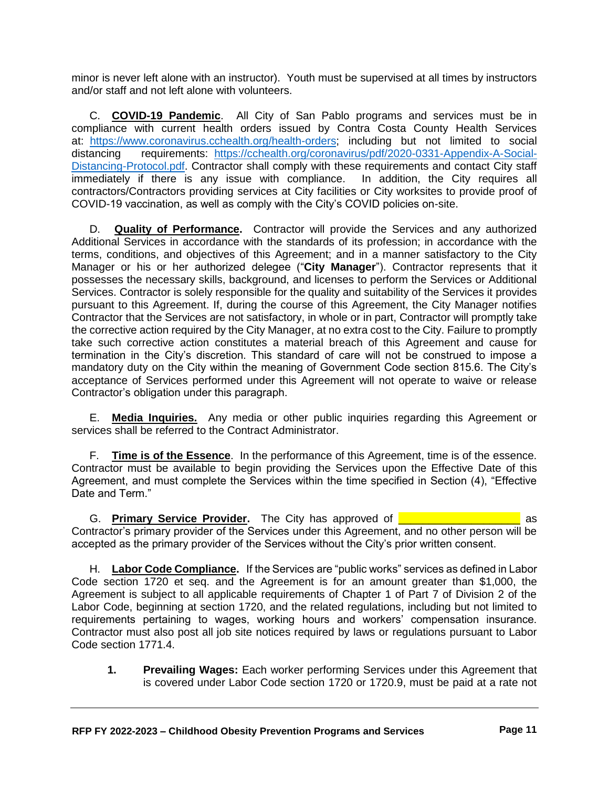minor is never left alone with an instructor). Youth must be supervised at all times by instructors and/or staff and not left alone with volunteers.

C. **COVID-19 Pandemic**. All City of San Pablo programs and services must be in compliance with current health orders issued by Contra Costa County Health Services at: [https://www.coronavirus.cchealth.org/health-orders;](https://www.coronavirus.cchealth.org/health-orders) including but not limited to social distancing requirements: [https://cchealth.org/coronavirus/pdf/2020-0331-Appendix-A-Social-](https://cchealth.org/coronavirus/pdf/2020-0331-Appendix-A-Social-Distancing-Protocol.pdf)[Distancing-Protocol.pdf.](https://cchealth.org/coronavirus/pdf/2020-0331-Appendix-A-Social-Distancing-Protocol.pdf) Contractor shall comply with these requirements and contact City staff immediately if there is any issue with compliance. In addition, the City requires all contractors/Contractors providing services at City facilities or City worksites to provide proof of COVID-19 vaccination, as well as comply with the City's COVID policies on-site.

D. **Quality of Performance.** Contractor will provide the Services and any authorized Additional Services in accordance with the standards of its profession; in accordance with the terms, conditions, and objectives of this Agreement; and in a manner satisfactory to the City Manager or his or her authorized delegee ("**City Manager**"). Contractor represents that it possesses the necessary skills, background, and licenses to perform the Services or Additional Services. Contractor is solely responsible for the quality and suitability of the Services it provides pursuant to this Agreement. If, during the course of this Agreement, the City Manager notifies Contractor that the Services are not satisfactory, in whole or in part, Contractor will promptly take the corrective action required by the City Manager, at no extra cost to the City. Failure to promptly take such corrective action constitutes a material breach of this Agreement and cause for termination in the City's discretion. This standard of care will not be construed to impose a mandatory duty on the City within the meaning of Government Code section 815.6. The City's acceptance of Services performed under this Agreement will not operate to waive or release Contractor's obligation under this paragraph.

E. **Media Inquiries.** Any media or other public inquiries regarding this Agreement or services shall be referred to the Contract Administrator.

F. **Time is of the Essence**. In the performance of this Agreement, time is of the essence. Contractor must be available to begin providing the Services upon the Effective Date of this Agreement, and must complete the Services within the time specified in Section (4), "Effective Date and Term."

G. Primary Service Provider. The City has approved of **Company Constants Constants Constants Constants Constants** as Contractor's primary provider of the Services under this Agreement, and no other person will be accepted as the primary provider of the Services without the City's prior written consent.

H. **Labor Code Compliance.** If the Services are "public works" services as defined in Labor Code section 1720 et seq. and the Agreement is for an amount greater than \$1,000, the Agreement is subject to all applicable requirements of Chapter 1 of Part 7 of Division 2 of the Labor Code, beginning at section 1720, and the related regulations, including but not limited to requirements pertaining to wages, working hours and workers' compensation insurance. Contractor must also post all job site notices required by laws or regulations pursuant to Labor Code section 1771.4.

**1. Prevailing Wages:** Each worker performing Services under this Agreement that is covered under Labor Code section 1720 or 1720.9, must be paid at a rate not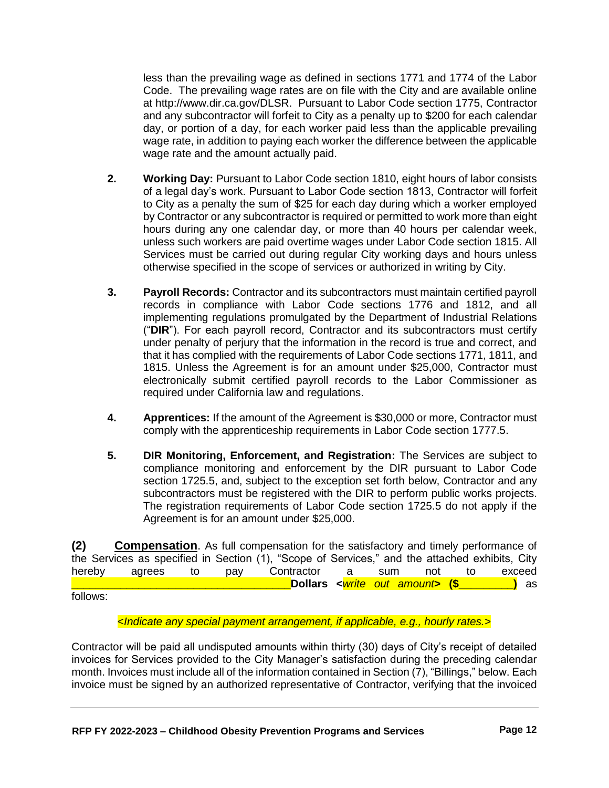less than the prevailing wage as defined in sections 1771 and 1774 of the Labor Code. The prevailing wage rates are on file with the City and are available online at http://www.dir.ca.gov/DLSR. Pursuant to Labor Code section 1775, Contractor and any subcontractor will forfeit to City as a penalty up to \$200 for each calendar day, or portion of a day, for each worker paid less than the applicable prevailing wage rate, in addition to paying each worker the difference between the applicable wage rate and the amount actually paid.

- **2. Working Day:** Pursuant to Labor Code section 1810, eight hours of labor consists of a legal day's work. Pursuant to Labor Code section 1813, Contractor will forfeit to City as a penalty the sum of \$25 for each day during which a worker employed by Contractor or any subcontractor is required or permitted to work more than eight hours during any one calendar day, or more than 40 hours per calendar week, unless such workers are paid overtime wages under Labor Code section 1815. All Services must be carried out during regular City working days and hours unless otherwise specified in the scope of services or authorized in writing by City.
- **3. Payroll Records:** Contractor and its subcontractors must maintain certified payroll records in compliance with Labor Code sections 1776 and 1812, and all implementing regulations promulgated by the Department of Industrial Relations ("**DIR**"). For each payroll record, Contractor and its subcontractors must certify under penalty of perjury that the information in the record is true and correct, and that it has complied with the requirements of Labor Code sections 1771, 1811, and 1815. Unless the Agreement is for an amount under \$25,000, Contractor must electronically submit certified payroll records to the Labor Commissioner as required under California law and regulations.
- **4. Apprentices:** If the amount of the Agreement is \$30,000 or more, Contractor must comply with the apprenticeship requirements in Labor Code section 1777.5.
- **5. DIR Monitoring, Enforcement, and Registration:** The Services are subject to compliance monitoring and enforcement by the DIR pursuant to Labor Code section 1725.5, and, subject to the exception set forth below, Contractor and any subcontractors must be registered with the DIR to perform public works projects. The registration requirements of Labor Code section 1725.5 do not apply if the Agreement is for an amount under \$25,000.

**(2) Compensation**. As full compensation for the satisfactory and timely performance of the Services as specified in Section (1), "Scope of Services," and the attached exhibits, City hereby agrees to pay Contractor a sum not to exceed **\_\_\_\_\_\_\_\_\_\_\_\_\_\_\_\_\_\_\_\_\_\_\_\_\_\_\_\_\_\_\_\_\_\_\_\_Dollars <***write out amount***> (\$\_\_\_\_\_\_\_\_\_)** as follows:

<*Indicate any special payment arrangement, if applicable, e.g., hourly rates.*>

Contractor will be paid all undisputed amounts within thirty (30) days of City's receipt of detailed invoices for Services provided to the City Manager's satisfaction during the preceding calendar month. Invoices must include all of the information contained in Section (7), "Billings," below. Each invoice must be signed by an authorized representative of Contractor, verifying that the invoiced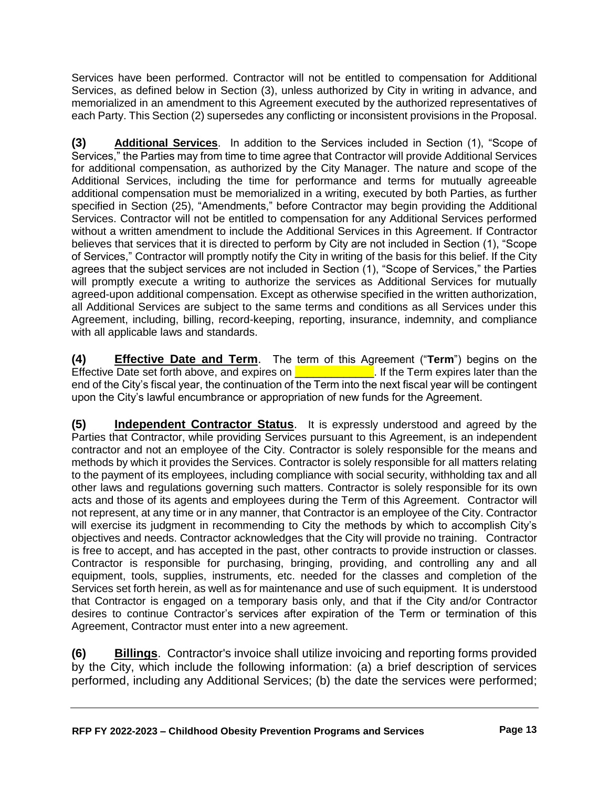Services have been performed. Contractor will not be entitled to compensation for Additional Services, as defined below in Section (3), unless authorized by City in writing in advance, and memorialized in an amendment to this Agreement executed by the authorized representatives of each Party. This Section (2) supersedes any conflicting or inconsistent provisions in the Proposal.

**(3) Additional Services**. In addition to the Services included in Section (1), "Scope of Services," the Parties may from time to time agree that Contractor will provide Additional Services for additional compensation, as authorized by the City Manager. The nature and scope of the Additional Services, including the time for performance and terms for mutually agreeable additional compensation must be memorialized in a writing, executed by both Parties, as further specified in Section (25), "Amendments," before Contractor may begin providing the Additional Services. Contractor will not be entitled to compensation for any Additional Services performed without a written amendment to include the Additional Services in this Agreement. If Contractor believes that services that it is directed to perform by City are not included in Section (1), "Scope of Services," Contractor will promptly notify the City in writing of the basis for this belief. If the City agrees that the subject services are not included in Section (1), "Scope of Services," the Parties will promptly execute a writing to authorize the services as Additional Services for mutually agreed-upon additional compensation. Except as otherwise specified in the written authorization, all Additional Services are subject to the same terms and conditions as all Services under this Agreement, including, billing, record-keeping, reporting, insurance, indemnity, and compliance with all applicable laws and standards.

**(4) Effective Date and Term**. The term of this Agreement ("**Term**") begins on the Effective Date set forth above, and expires on  $\blacksquare$  If the Term expires later than the end of the City's fiscal year, the continuation of the Term into the next fiscal year will be contingent upon the City's lawful encumbrance or appropriation of new funds for the Agreement.

**(5) Independent Contractor Status**. It is expressly understood and agreed by the Parties that Contractor, while providing Services pursuant to this Agreement, is an independent contractor and not an employee of the City. Contractor is solely responsible for the means and methods by which it provides the Services. Contractor is solely responsible for all matters relating to the payment of its employees, including compliance with social security, withholding tax and all other laws and regulations governing such matters. Contractor is solely responsible for its own acts and those of its agents and employees during the Term of this Agreement. Contractor will not represent, at any time or in any manner, that Contractor is an employee of the City. Contractor will exercise its judgment in recommending to City the methods by which to accomplish City's objectives and needs. Contractor acknowledges that the City will provide no training. Contractor is free to accept, and has accepted in the past, other contracts to provide instruction or classes. Contractor is responsible for purchasing, bringing, providing, and controlling any and all equipment, tools, supplies, instruments, etc. needed for the classes and completion of the Services set forth herein, as well as for maintenance and use of such equipment. It is understood that Contractor is engaged on a temporary basis only, and that if the City and/or Contractor desires to continue Contractor's services after expiration of the Term or termination of this Agreement, Contractor must enter into a new agreement.

**(6) Billings**. Contractor's invoice shall utilize invoicing and reporting forms provided by the City, which include the following information: (a) a brief description of services performed, including any Additional Services; (b) the date the services were performed;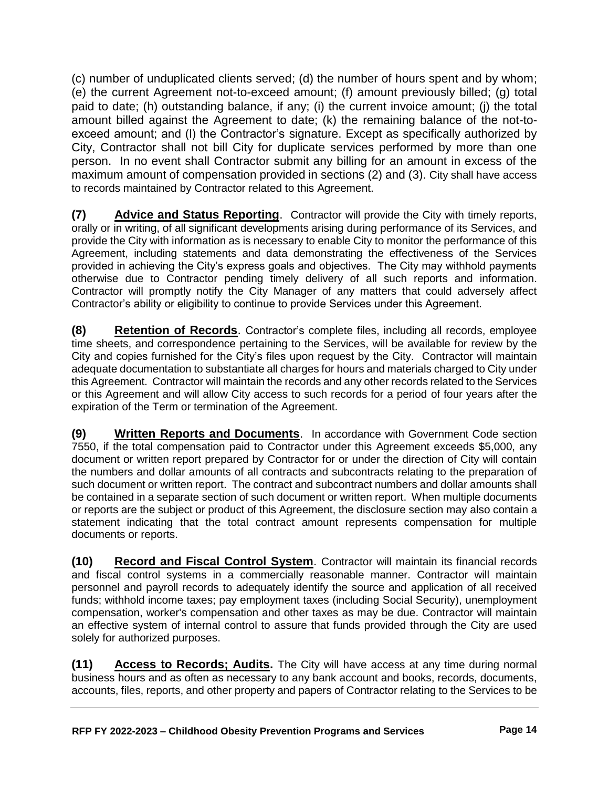(c) number of unduplicated clients served; (d) the number of hours spent and by whom; (e) the current Agreement not-to-exceed amount; (f) amount previously billed; (g) total paid to date; (h) outstanding balance, if any; (i) the current invoice amount; (j) the total amount billed against the Agreement to date; (k) the remaining balance of the not-toexceed amount; and (l) the Contractor's signature. Except as specifically authorized by City, Contractor shall not bill City for duplicate services performed by more than one person. In no event shall Contractor submit any billing for an amount in excess of the maximum amount of compensation provided in sections (2) and (3). City shall have access to records maintained by Contractor related to this Agreement.

**(7) Advice and Status Reporting**. Contractor will provide the City with timely reports, orally or in writing, of all significant developments arising during performance of its Services, and provide the City with information as is necessary to enable City to monitor the performance of this Agreement, including statements and data demonstrating the effectiveness of the Services provided in achieving the City's express goals and objectives. The City may withhold payments otherwise due to Contractor pending timely delivery of all such reports and information. Contractor will promptly notify the City Manager of any matters that could adversely affect Contractor's ability or eligibility to continue to provide Services under this Agreement.

**(8) Retention of Records**. Contractor's complete files, including all records, employee time sheets, and correspondence pertaining to the Services, will be available for review by the City and copies furnished for the City's files upon request by the City. Contractor will maintain adequate documentation to substantiate all charges for hours and materials charged to City under this Agreement. Contractor will maintain the records and any other records related to the Services or this Agreement and will allow City access to such records for a period of four years after the expiration of the Term or termination of the Agreement.

**(9) Written Reports and Documents**. In accordance with Government Code section 7550, if the total compensation paid to Contractor under this Agreement exceeds \$5,000, any document or written report prepared by Contractor for or under the direction of City will contain the numbers and dollar amounts of all contracts and subcontracts relating to the preparation of such document or written report. The contract and subcontract numbers and dollar amounts shall be contained in a separate section of such document or written report. When multiple documents or reports are the subject or product of this Agreement, the disclosure section may also contain a statement indicating that the total contract amount represents compensation for multiple documents or reports.

**(10) Record and Fiscal Control System**. Contractor will maintain its financial records and fiscal control systems in a commercially reasonable manner. Contractor will maintain personnel and payroll records to adequately identify the source and application of all received funds; withhold income taxes; pay employment taxes (including Social Security), unemployment compensation, worker's compensation and other taxes as may be due. Contractor will maintain an effective system of internal control to assure that funds provided through the City are used solely for authorized purposes.

**(11) Access to Records; Audits.** The City will have access at any time during normal business hours and as often as necessary to any bank account and books, records, documents, accounts, files, reports, and other property and papers of Contractor relating to the Services to be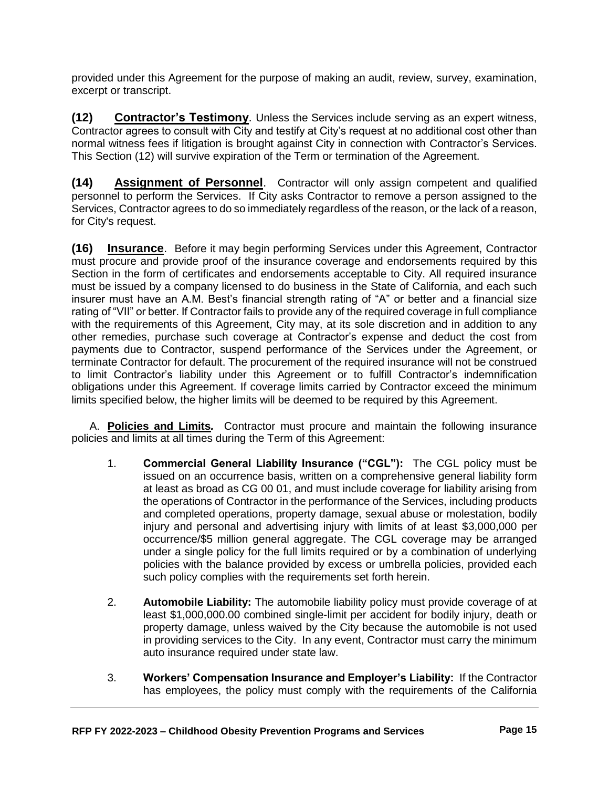provided under this Agreement for the purpose of making an audit, review, survey, examination, excerpt or transcript.

**(12) Contractor's Testimony**. Unless the Services include serving as an expert witness, Contractor agrees to consult with City and testify at City's request at no additional cost other than normal witness fees if litigation is brought against City in connection with Contractor's Services. This Section (12) will survive expiration of the Term or termination of the Agreement.

**(14) Assignment of Personnel**. Contractor will only assign competent and qualified personnel to perform the Services. If City asks Contractor to remove a person assigned to the Services, Contractor agrees to do so immediately regardless of the reason, or the lack of a reason, for City's request.

**(16) Insurance**. Before it may begin performing Services under this Agreement, Contractor must procure and provide proof of the insurance coverage and endorsements required by this Section in the form of certificates and endorsements acceptable to City. All required insurance must be issued by a company licensed to do business in the State of California, and each such insurer must have an A.M. Best's financial strength rating of "A" or better and a financial size rating of "VII" or better. If Contractor fails to provide any of the required coverage in full compliance with the requirements of this Agreement, City may, at its sole discretion and in addition to any other remedies, purchase such coverage at Contractor's expense and deduct the cost from payments due to Contractor, suspend performance of the Services under the Agreement, or terminate Contractor for default. The procurement of the required insurance will not be construed to limit Contractor's liability under this Agreement or to fulfill Contractor's indemnification obligations under this Agreement. If coverage limits carried by Contractor exceed the minimum limits specified below, the higher limits will be deemed to be required by this Agreement.

A. **Policies and Limits***.* Contractor must procure and maintain the following insurance policies and limits at all times during the Term of this Agreement:

- 1. **Commercial General Liability Insurance ("CGL"):**The CGL policy must be issued on an occurrence basis, written on a comprehensive general liability form at least as broad as CG 00 01, and must include coverage for liability arising from the operations of Contractor in the performance of the Services, including products and completed operations, property damage, sexual abuse or molestation, bodily injury and personal and advertising injury with limits of at least \$3,000,000 per occurrence/\$5 million general aggregate. The CGL coverage may be arranged under a single policy for the full limits required or by a combination of underlying policies with the balance provided by excess or umbrella policies, provided each such policy complies with the requirements set forth herein.
- 2. **Automobile Liability:** The automobile liability policy must provide coverage of at least \$1,000,000.00 combined single-limit per accident for bodily injury, death or property damage, unless waived by the City because the automobile is not used in providing services to the City. In any event, Contractor must carry the minimum auto insurance required under state law.
- 3. **Workers' Compensation Insurance and Employer's Liability:** If the Contractor has employees, the policy must comply with the requirements of the California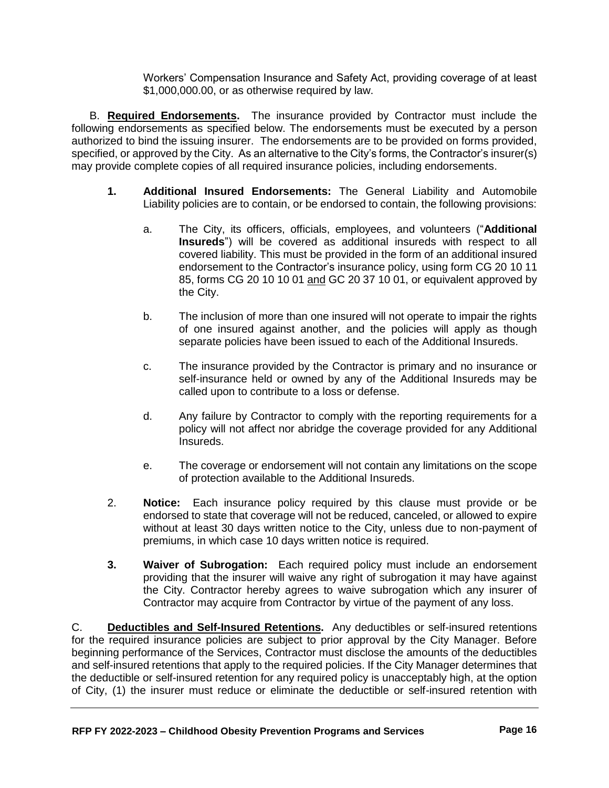Workers' Compensation Insurance and Safety Act, providing coverage of at least \$1,000,000.00, or as otherwise required by law.

B. **Required Endorsements.** The insurance provided by Contractor must include the following endorsements as specified below. The endorsements must be executed by a person authorized to bind the issuing insurer. The endorsements are to be provided on forms provided, specified, or approved by the City. As an alternative to the City's forms, the Contractor's insurer(s) may provide complete copies of all required insurance policies, including endorsements.

- **1. Additional Insured Endorsements:** The General Liability and Automobile Liability policies are to contain, or be endorsed to contain, the following provisions:
	- a. The City, its officers, officials, employees, and volunteers ("**Additional Insureds**") will be covered as additional insureds with respect to all covered liability. This must be provided in the form of an additional insured endorsement to the Contractor's insurance policy, using form CG 20 10 11 85, forms CG 20 10 10 01 and GC 20 37 10 01, or equivalent approved by the City.
	- b. The inclusion of more than one insured will not operate to impair the rights of one insured against another, and the policies will apply as though separate policies have been issued to each of the Additional Insureds.
	- c. The insurance provided by the Contractor is primary and no insurance or self-insurance held or owned by any of the Additional Insureds may be called upon to contribute to a loss or defense.
	- d. Any failure by Contractor to comply with the reporting requirements for a policy will not affect nor abridge the coverage provided for any Additional Insureds.
	- e. The coverage or endorsement will not contain any limitations on the scope of protection available to the Additional Insureds.
- 2. **Notice:** Each insurance policy required by this clause must provide or be endorsed to state that coverage will not be reduced, canceled, or allowed to expire without at least 30 days written notice to the City, unless due to non-payment of premiums, in which case 10 days written notice is required.
- **3. Waiver of Subrogation:** Each required policy must include an endorsement providing that the insurer will waive any right of subrogation it may have against the City. Contractor hereby agrees to waive subrogation which any insurer of Contractor may acquire from Contractor by virtue of the payment of any loss.

C. **Deductibles and Self-Insured Retentions.** Any deductibles or self-insured retentions for the required insurance policies are subject to prior approval by the City Manager. Before beginning performance of the Services, Contractor must disclose the amounts of the deductibles and self-insured retentions that apply to the required policies. If the City Manager determines that the deductible or self-insured retention for any required policy is unacceptably high, at the option of City, (1) the insurer must reduce or eliminate the deductible or self-insured retention with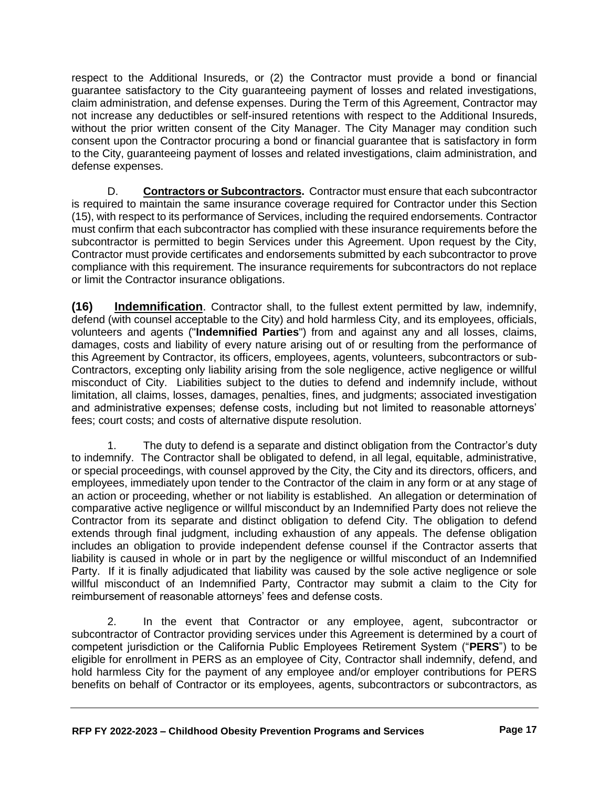respect to the Additional Insureds, or (2) the Contractor must provide a bond or financial guarantee satisfactory to the City guaranteeing payment of losses and related investigations, claim administration, and defense expenses. During the Term of this Agreement, Contractor may not increase any deductibles or self-insured retentions with respect to the Additional Insureds, without the prior written consent of the City Manager. The City Manager may condition such consent upon the Contractor procuring a bond or financial guarantee that is satisfactory in form to the City, guaranteeing payment of losses and related investigations, claim administration, and defense expenses.

D. **Contractors or Subcontractors.**Contractor must ensure that each subcontractor is required to maintain the same insurance coverage required for Contractor under this Section (15), with respect to its performance of Services, including the required endorsements. Contractor must confirm that each subcontractor has complied with these insurance requirements before the subcontractor is permitted to begin Services under this Agreement. Upon request by the City, Contractor must provide certificates and endorsements submitted by each subcontractor to prove compliance with this requirement. The insurance requirements for subcontractors do not replace or limit the Contractor insurance obligations.

**(16) Indemnification**. Contractor shall, to the fullest extent permitted by law, indemnify, defend (with counsel acceptable to the City) and hold harmless City, and its employees, officials, volunteers and agents ("**Indemnified Parties**") from and against any and all losses, claims, damages, costs and liability of every nature arising out of or resulting from the performance of this Agreement by Contractor, its officers, employees, agents, volunteers, subcontractors or sub-Contractors, excepting only liability arising from the sole negligence, active negligence or willful misconduct of City. Liabilities subject to the duties to defend and indemnify include, without limitation, all claims, losses, damages, penalties, fines, and judgments; associated investigation and administrative expenses; defense costs, including but not limited to reasonable attorneys' fees; court costs; and costs of alternative dispute resolution.

1. The duty to defend is a separate and distinct obligation from the Contractor's duty to indemnify. The Contractor shall be obligated to defend, in all legal, equitable, administrative, or special proceedings, with counsel approved by the City, the City and its directors, officers, and employees, immediately upon tender to the Contractor of the claim in any form or at any stage of an action or proceeding, whether or not liability is established. An allegation or determination of comparative active negligence or willful misconduct by an Indemnified Party does not relieve the Contractor from its separate and distinct obligation to defend City. The obligation to defend extends through final judgment, including exhaustion of any appeals. The defense obligation includes an obligation to provide independent defense counsel if the Contractor asserts that liability is caused in whole or in part by the negligence or willful misconduct of an Indemnified Party. If it is finally adjudicated that liability was caused by the sole active negligence or sole willful misconduct of an Indemnified Party, Contractor may submit a claim to the City for reimbursement of reasonable attorneys' fees and defense costs.

2. In the event that Contractor or any employee, agent, subcontractor or subcontractor of Contractor providing services under this Agreement is determined by a court of competent jurisdiction or the California Public Employees Retirement System ("**PERS**") to be eligible for enrollment in PERS as an employee of City, Contractor shall indemnify, defend, and hold harmless City for the payment of any employee and/or employer contributions for PERS benefits on behalf of Contractor or its employees, agents, subcontractors or subcontractors, as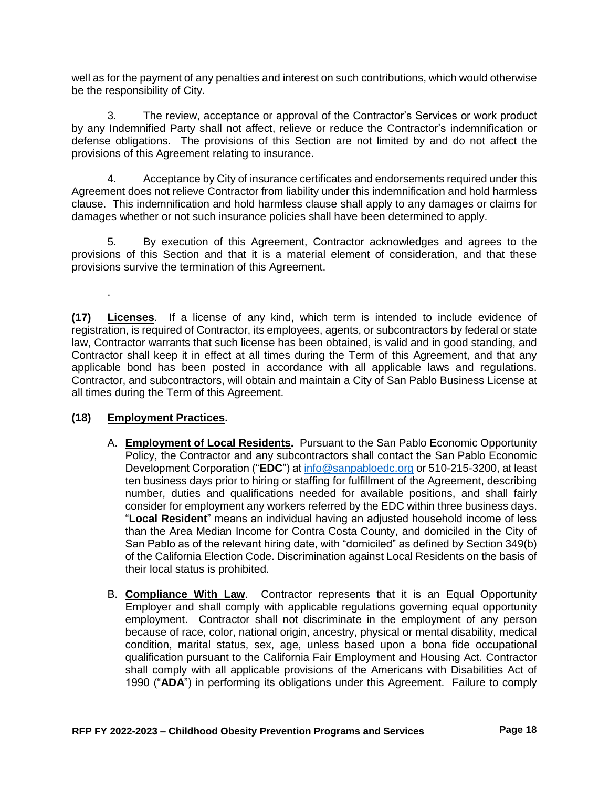well as for the payment of any penalties and interest on such contributions, which would otherwise be the responsibility of City.

3. The review, acceptance or approval of the Contractor's Services or work product by any Indemnified Party shall not affect, relieve or reduce the Contractor's indemnification or defense obligations. The provisions of this Section are not limited by and do not affect the provisions of this Agreement relating to insurance.

4. Acceptance by City of insurance certificates and endorsements required under this Agreement does not relieve Contractor from liability under this indemnification and hold harmless clause. This indemnification and hold harmless clause shall apply to any damages or claims for damages whether or not such insurance policies shall have been determined to apply.

5. By execution of this Agreement, Contractor acknowledges and agrees to the provisions of this Section and that it is a material element of consideration, and that these provisions survive the termination of this Agreement.

**(17) Licenses**. If a license of any kind, which term is intended to include evidence of registration, is required of Contractor, its employees, agents, or subcontractors by federal or state law, Contractor warrants that such license has been obtained, is valid and in good standing, and Contractor shall keep it in effect at all times during the Term of this Agreement, and that any applicable bond has been posted in accordance with all applicable laws and regulations. Contractor, and subcontractors, will obtain and maintain a City of San Pablo Business License at all times during the Term of this Agreement.

#### **(18) Employment Practices.**

.

- A. **Employment of Local Residents.** Pursuant to the San Pablo Economic Opportunity Policy, the Contractor and any subcontractors shall contact the San Pablo Economic Development Corporation ("**EDC**") a[t info@sanpabloedc.org](mailto:info@sanpabloedc.org) or 510-215-3200, at least ten business days prior to hiring or staffing for fulfillment of the Agreement, describing number, duties and qualifications needed for available positions, and shall fairly consider for employment any workers referred by the EDC within three business days. "**Local Resident**" means an individual having an adjusted household income of less than the Area Median Income for Contra Costa County, and domiciled in the City of San Pablo as of the relevant hiring date, with "domiciled" as defined by Section 349(b) of the California Election Code. Discrimination against Local Residents on the basis of their local status is prohibited.
- B. **Compliance With Law**. Contractor represents that it is an Equal Opportunity Employer and shall comply with applicable regulations governing equal opportunity employment. Contractor shall not discriminate in the employment of any person because of race, color, national origin, ancestry, physical or mental disability, medical condition, marital status, sex, age, unless based upon a bona fide occupational qualification pursuant to the California Fair Employment and Housing Act. Contractor shall comply with all applicable provisions of the Americans with Disabilities Act of 1990 ("**ADA**") in performing its obligations under this Agreement. Failure to comply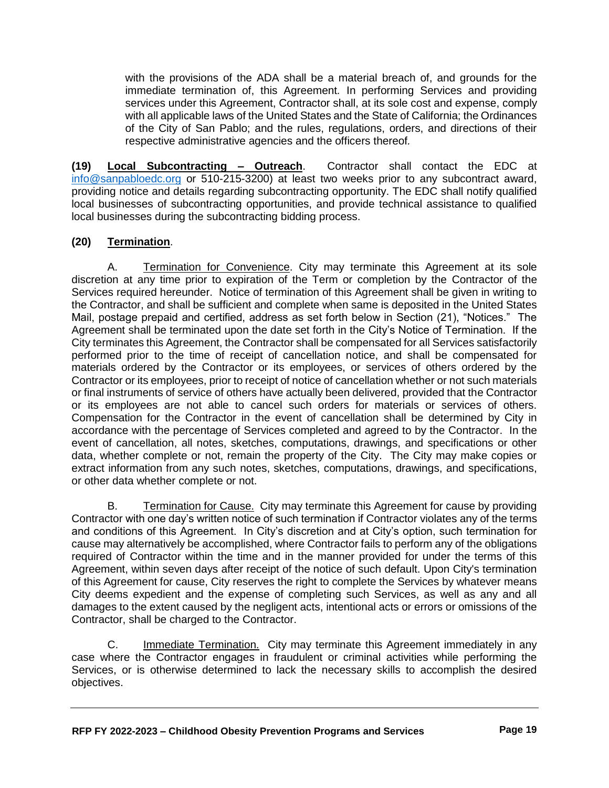with the provisions of the ADA shall be a material breach of, and grounds for the immediate termination of, this Agreement*.* In performing Services and providing services under this Agreement, Contractor shall, at its sole cost and expense, comply with all applicable laws of the United States and the State of California; the Ordinances of the City of San Pablo; and the rules, regulations, orders, and directions of their respective administrative agencies and the officers thereof*.*

**(19) Local Subcontracting – Outreach**. Contractor shall contact the EDC at [info@sanpabloedc.org](mailto:info@sanpabloedc.org) or 510-215-3200) at least two weeks prior to any subcontract award, providing notice and details regarding subcontracting opportunity. The EDC shall notify qualified local businesses of subcontracting opportunities, and provide technical assistance to qualified local businesses during the subcontracting bidding process.

#### **(20) Termination**.

A. Termination for Convenience. City may terminate this Agreement at its sole discretion at any time prior to expiration of the Term or completion by the Contractor of the Services required hereunder. Notice of termination of this Agreement shall be given in writing to the Contractor, and shall be sufficient and complete when same is deposited in the United States Mail, postage prepaid and certified, address as set forth below in Section (21), "Notices." The Agreement shall be terminated upon the date set forth in the City's Notice of Termination. If the City terminates this Agreement, the Contractor shall be compensated for all Services satisfactorily performed prior to the time of receipt of cancellation notice, and shall be compensated for materials ordered by the Contractor or its employees, or services of others ordered by the Contractor or its employees, prior to receipt of notice of cancellation whether or not such materials or final instruments of service of others have actually been delivered, provided that the Contractor or its employees are not able to cancel such orders for materials or services of others. Compensation for the Contractor in the event of cancellation shall be determined by City in accordance with the percentage of Services completed and agreed to by the Contractor. In the event of cancellation, all notes, sketches, computations, drawings, and specifications or other data, whether complete or not, remain the property of the City. The City may make copies or extract information from any such notes, sketches, computations, drawings, and specifications, or other data whether complete or not.

B. Termination for Cause. City may terminate this Agreement for cause by providing Contractor with one day's written notice of such termination if Contractor violates any of the terms and conditions of this Agreement. In City's discretion and at City's option, such termination for cause may alternatively be accomplished, where Contractor fails to perform any of the obligations required of Contractor within the time and in the manner provided for under the terms of this Agreement, within seven days after receipt of the notice of such default. Upon City's termination of this Agreement for cause, City reserves the right to complete the Services by whatever means City deems expedient and the expense of completing such Services, as well as any and all damages to the extent caused by the negligent acts, intentional acts or errors or omissions of the Contractor, shall be charged to the Contractor.

C. **Immediate Termination.** City may terminate this Agreement immediately in any case where the Contractor engages in fraudulent or criminal activities while performing the Services, or is otherwise determined to lack the necessary skills to accomplish the desired objectives.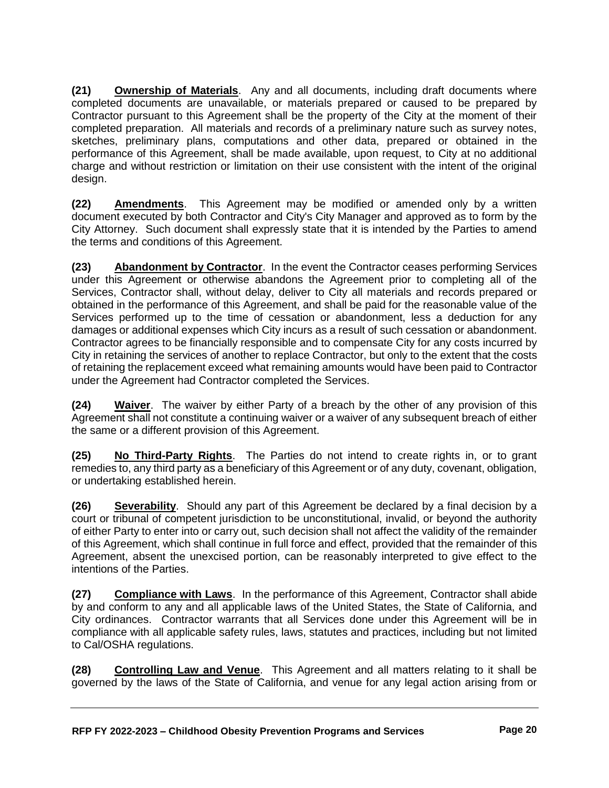**(21) Ownership of Materials**. Any and all documents, including draft documents where completed documents are unavailable, or materials prepared or caused to be prepared by Contractor pursuant to this Agreement shall be the property of the City at the moment of their completed preparation. All materials and records of a preliminary nature such as survey notes, sketches, preliminary plans, computations and other data, prepared or obtained in the performance of this Agreement, shall be made available, upon request, to City at no additional charge and without restriction or limitation on their use consistent with the intent of the original design.

**(22) Amendments**. This Agreement may be modified or amended only by a written document executed by both Contractor and City's City Manager and approved as to form by the City Attorney. Such document shall expressly state that it is intended by the Parties to amend the terms and conditions of this Agreement.

**(23) Abandonment by Contractor**. In the event the Contractor ceases performing Services under this Agreement or otherwise abandons the Agreement prior to completing all of the Services, Contractor shall, without delay, deliver to City all materials and records prepared or obtained in the performance of this Agreement, and shall be paid for the reasonable value of the Services performed up to the time of cessation or abandonment, less a deduction for any damages or additional expenses which City incurs as a result of such cessation or abandonment. Contractor agrees to be financially responsible and to compensate City for any costs incurred by City in retaining the services of another to replace Contractor, but only to the extent that the costs of retaining the replacement exceed what remaining amounts would have been paid to Contractor under the Agreement had Contractor completed the Services.

**(24) Waiver**. The waiver by either Party of a breach by the other of any provision of this Agreement shall not constitute a continuing waiver or a waiver of any subsequent breach of either the same or a different provision of this Agreement.

**(25) No Third-Party Rights**. The Parties do not intend to create rights in, or to grant remedies to, any third party as a beneficiary of this Agreement or of any duty, covenant, obligation, or undertaking established herein.

**(26) Severability**. Should any part of this Agreement be declared by a final decision by a court or tribunal of competent jurisdiction to be unconstitutional, invalid, or beyond the authority of either Party to enter into or carry out, such decision shall not affect the validity of the remainder of this Agreement, which shall continue in full force and effect, provided that the remainder of this Agreement, absent the unexcised portion, can be reasonably interpreted to give effect to the intentions of the Parties.

**(27) Compliance with Laws**. In the performance of this Agreement, Contractor shall abide by and conform to any and all applicable laws of the United States, the State of California, and City ordinances. Contractor warrants that all Services done under this Agreement will be in compliance with all applicable safety rules, laws, statutes and practices, including but not limited to Cal/OSHA regulations.

**(28) Controlling Law and Venue**. This Agreement and all matters relating to it shall be governed by the laws of the State of California, and venue for any legal action arising from or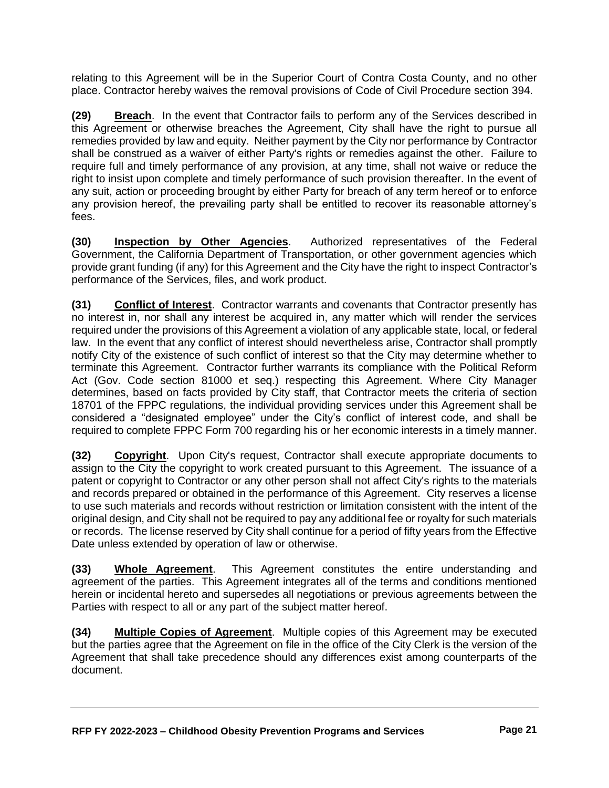relating to this Agreement will be in the Superior Court of Contra Costa County, and no other place. Contractor hereby waives the removal provisions of Code of Civil Procedure section 394.

**(29) Breach**. In the event that Contractor fails to perform any of the Services described in this Agreement or otherwise breaches the Agreement, City shall have the right to pursue all remedies provided by law and equity. Neither payment by the City nor performance by Contractor shall be construed as a waiver of either Party's rights or remedies against the other. Failure to require full and timely performance of any provision, at any time, shall not waive or reduce the right to insist upon complete and timely performance of such provision thereafter. In the event of any suit, action or proceeding brought by either Party for breach of any term hereof or to enforce any provision hereof, the prevailing party shall be entitled to recover its reasonable attorney's fees.

**(30) Inspection by Other Agencies**. Authorized representatives of the Federal Government, the California Department of Transportation, or other government agencies which provide grant funding (if any) for this Agreement and the City have the right to inspect Contractor's performance of the Services, files, and work product.

**(31) Conflict of Interest**. Contractor warrants and covenants that Contractor presently has no interest in, nor shall any interest be acquired in, any matter which will render the services required under the provisions of this Agreement a violation of any applicable state, local, or federal law. In the event that any conflict of interest should nevertheless arise, Contractor shall promptly notify City of the existence of such conflict of interest so that the City may determine whether to terminate this Agreement. Contractor further warrants its compliance with the Political Reform Act (Gov. Code section 81000 et seq.) respecting this Agreement. Where City Manager determines, based on facts provided by City staff, that Contractor meets the criteria of section 18701 of the FPPC regulations, the individual providing services under this Agreement shall be considered a "designated employee" under the City's conflict of interest code, and shall be required to complete FPPC Form 700 regarding his or her economic interests in a timely manner.

**(32) Copyright**. Upon City's request, Contractor shall execute appropriate documents to assign to the City the copyright to work created pursuant to this Agreement. The issuance of a patent or copyright to Contractor or any other person shall not affect City's rights to the materials and records prepared or obtained in the performance of this Agreement. City reserves a license to use such materials and records without restriction or limitation consistent with the intent of the original design, and City shall not be required to pay any additional fee or royalty for such materials or records. The license reserved by City shall continue for a period of fifty years from the Effective Date unless extended by operation of law or otherwise.

**(33) Whole Agreement**. This Agreement constitutes the entire understanding and agreement of the parties. This Agreement integrates all of the terms and conditions mentioned herein or incidental hereto and supersedes all negotiations or previous agreements between the Parties with respect to all or any part of the subject matter hereof.

**(34) Multiple Copies of Agreement**. Multiple copies of this Agreement may be executed but the parties agree that the Agreement on file in the office of the City Clerk is the version of the Agreement that shall take precedence should any differences exist among counterparts of the document.